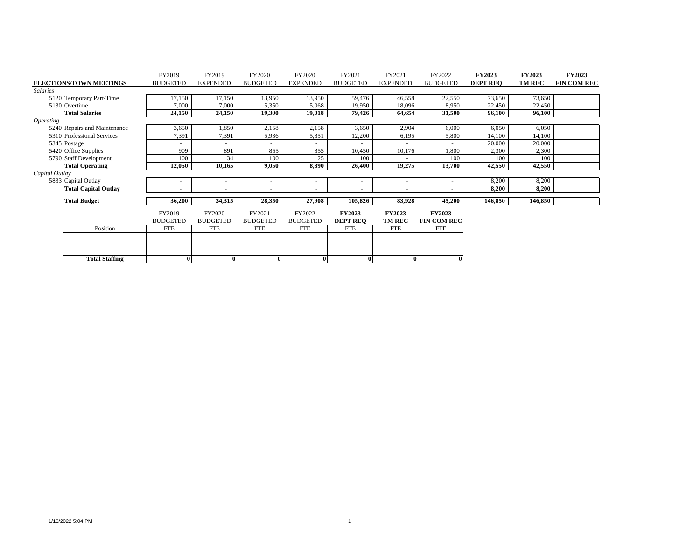|                                | FY2019          | FY2019          | FY2020          | FY2020                   | FY2021          | FY2021                   | FY2022             | <b>FY2023</b>   | <b>FY2023</b> | <b>FY2023</b>      |
|--------------------------------|-----------------|-----------------|-----------------|--------------------------|-----------------|--------------------------|--------------------|-----------------|---------------|--------------------|
| <b>ELECTIONS/TOWN MEETINGS</b> | <b>BUDGETED</b> | <b>EXPENDED</b> | <b>BUDGETED</b> | <b>EXPENDED</b>          | <b>BUDGETED</b> | <b>EXPENDED</b>          | <b>BUDGETED</b>    | <b>DEPT REO</b> | <b>TM REC</b> | <b>FIN COM REC</b> |
| <b>Salaries</b>                |                 |                 |                 |                          |                 |                          |                    |                 |               |                    |
| 5120 Temporary Part-Time       | 17,150          | 17,150          | 13,950          | 13,950                   | 59,476          | 46,558                   | 22,550             | 73,650          | 73,650        |                    |
| 5130 Overtime                  | 7,000           | 7,000           | 5,350           | 5,068                    | 19,950          | 18,096                   | 8,950              | 22,450          | 22,450        |                    |
| <b>Total Salaries</b>          | 24,150          | 24,150          | 19,300          | 19,018                   | 79,426          | 64,654                   | 31,500             | 96,100          | 96,100        |                    |
| <i><b>Operating</b></i>        |                 |                 |                 |                          |                 |                          |                    |                 |               |                    |
| 5240 Repairs and Maintenance   | 3,650           | 1,850           | 2,158           | 2,158                    | 3,650           | 2,904                    | 6,000              | 6,050           | 6,050         |                    |
| 5310 Professional Services     | 7,391           | 7,391           | 5,936           | 5,851                    | 12,200          | 6,195                    | 5,800              | 14,100          | 14,100        |                    |
| 5345 Postage                   |                 |                 |                 | $\overline{\phantom{a}}$ | ۰               | $\overline{\phantom{a}}$ | $\sim$             | 20,000          | 20,000        |                    |
| 5420 Office Supplies           | 909             | 891             | 855             | 855                      | 10,450          | 10,176                   | 1,800              | 2,300           | 2,300         |                    |
| 5790 Staff Development         | 100             | 34              | 100             | 25                       | 100             | $\overline{\phantom{a}}$ | 100                | 100             | 100           |                    |
| <b>Total Operating</b>         | 12.050          | 10,165          | 9.050           | 8,890                    | 26,400          | 19,275                   | 13,700             | 42,550          | 42,550        |                    |
| Capital Outlay                 |                 |                 |                 |                          |                 |                          |                    |                 |               |                    |
| 5833 Capital Outlay            | -               |                 |                 | $\overline{\phantom{a}}$ | ٠               | $\overline{\phantom{a}}$ | $\overline{a}$     | 8,200           | 8,200         |                    |
| <b>Total Capital Outlay</b>    |                 |                 |                 |                          | ٠               |                          |                    | 8,200           | 8,200         |                    |
|                                |                 |                 |                 |                          |                 |                          |                    |                 |               |                    |
| <b>Total Budget</b>            | 36,200          | 34,315          | 28,350          | 27,908                   | 105,826         | 83,928                   | 45,200             | 146,850         | 146,850       |                    |
|                                | FY2019          | <b>FY2020</b>   | FY2021          | FY2022                   | <b>FY2023</b>   | <b>FY2023</b>            | <b>FY2023</b>      |                 |               |                    |
|                                | <b>BUDGETED</b> | <b>BUDGETED</b> | <b>BUDGETED</b> | <b>BUDGETED</b>          | <b>DEPT REO</b> | <b>TM REC</b>            | <b>FIN COM REC</b> |                 |               |                    |
| Position                       | <b>FTE</b>      | <b>FTE</b>      | FTE             | FTE                      | <b>FTE</b>      | <b>FTE</b>               | <b>FTE</b>         |                 |               |                    |
|                                |                 |                 |                 |                          |                 |                          |                    |                 |               |                    |
|                                |                 |                 |                 |                          |                 |                          |                    |                 |               |                    |
|                                |                 |                 |                 |                          |                 |                          |                    |                 |               |                    |
| <b>Total Staffing</b>          | $\mathbf{0}$    | $\theta$        | $\mathbf{0}$    | $\bf{0}$                 | 0               | $\mathbf{0}$             |                    |                 |               |                    |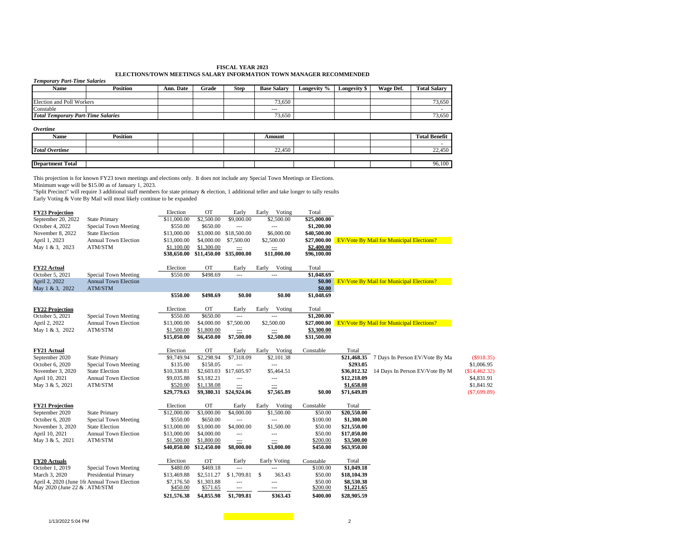#### **FISCAL YEAR 2023 ELECTIONS/TOWN MEETINGS SALARY INFORMATION TOWN MANAGER RECOMMENDED**

| <b>Temporary Part-Time Salaries</b>       |                 |           |       |             |                    |             |              |           |                      |
|-------------------------------------------|-----------------|-----------|-------|-------------|--------------------|-------------|--------------|-----------|----------------------|
| Name                                      | <b>Position</b> | Ann. Date | Grade | <b>Step</b> | <b>Base Salarv</b> | Longevity % | Longevity \$ | Wage Def. | <b>Total Salary</b>  |
|                                           |                 |           |       |             |                    |             |              |           |                      |
| <b>Election and Poll Workers</b>          |                 |           |       |             | 73,650             |             |              |           | 73,650               |
| Constable                                 |                 |           |       |             | $\cdots$           |             |              |           |                      |
| <b>Total Temporary Part-Time Salaries</b> |                 |           |       |             | 73,650             |             |              |           | 73,650               |
| Overtime                                  |                 |           |       |             |                    |             |              |           |                      |
| Name                                      | <b>Position</b> |           |       |             | Amount             |             |              |           | <b>Total Benefit</b> |
|                                           |                 |           |       |             |                    |             |              |           |                      |
| <b>Total Overtime</b>                     |                 |           |       |             | 22,450             |             |              |           | 22,450               |
|                                           |                 |           |       |             |                    |             |              |           |                      |
| <b>Department Total</b>                   |                 |           |       |             |                    |             |              |           | 96,100               |

This projection is for known FY23 town meetings and elections only. It does not include any Special Town Meetings or Elections.

Minimum wage will be \$15.00 as of January 1, 2023.<br>"Split Precinct" will require 3 additional staff members for state primary & election, 1 additional teller and take longer to tally results<br>Early Voting & Vote By Mail wil

| <b>FY23 Projection</b>          |                                                      | Election                  | <b>OT</b>                 | Early                   | Early<br>Voting         | Total                     |                                                 |                |
|---------------------------------|------------------------------------------------------|---------------------------|---------------------------|-------------------------|-------------------------|---------------------------|-------------------------------------------------|----------------|
| September 20, 2022              | <b>State Primary</b>                                 | \$11,000.00               | \$2,500.00                | \$9,000.00              | \$2,500.00              | \$25,000.00               |                                                 |                |
| October 4, 2022                 | Special Town Meeting                                 | \$550.00                  | \$650.00                  | $\overline{a}$          | ---                     | \$1,200.00                |                                                 |                |
| November 8, 2022                | <b>State Election</b><br><b>Annual Town Election</b> | \$13,000.00               | \$3,000.00                | \$18,500.00             | \$6,000.00              | \$40,500.00               |                                                 |                |
| April 1, 2023                   |                                                      | \$13,000.00               | \$4,000.00                | \$7,500.00              | \$2,500.00              | \$27,000.00               | <b>EV/Vote By Mail for Municipal Elections?</b> |                |
| May 1 & 3, 2023                 | <b>ATM/STM</b>                                       | \$1,100.00<br>\$38,650.00 | \$1,300.00<br>\$11,450.00 | $\equiv$<br>\$35,000.00 | $\equiv$<br>\$11,000.00 | \$2,400.00<br>\$96,100.00 |                                                 |                |
|                                 |                                                      |                           |                           |                         |                         |                           |                                                 |                |
| FY22 Actual                     |                                                      | Election                  | <b>OT</b>                 | Early                   | Early<br>Voting         | Total                     |                                                 |                |
| October 5, 2021                 | <b>Special Town Meeting</b>                          | \$550.00                  | \$498.69                  | $\overline{a}$          | $\overline{a}$          | \$1,048.69                |                                                 |                |
| April 2, 2022                   | <b>Annual Town Election</b>                          |                           |                           |                         |                         | \$0.00                    | <b>EV/Vote By Mail for Municipal Elections?</b> |                |
| May 1 & 3, 2022                 | ATM/STM                                              |                           |                           |                         |                         | \$0.00                    |                                                 |                |
|                                 |                                                      | \$550.00                  | \$498.69                  | \$0.00                  | \$0.00                  | \$1,048.69                |                                                 |                |
| <b>FY22 Projection</b>          |                                                      | Election                  | <b>OT</b>                 | Early                   | Early<br>Voting         | Total                     |                                                 |                |
| October 5, 2021                 | Special Town Meeting                                 | \$550.00                  | \$650.00                  | ---                     | ---                     | \$1,200.00                |                                                 |                |
| April 2, 2022                   | <b>Annual Town Election</b>                          | \$13,000.00               | \$4,000.00                | \$7,500.00              | \$2,500.00              | \$27,000.00               | <b>EV/Vote By Mail for Municipal Elections?</b> |                |
| May 1 & 3, 2022                 | <b>ATM/STM</b>                                       | \$1,500.00                | \$1,800.00                | ---                     | ---                     | \$3,300.00                |                                                 |                |
|                                 |                                                      | \$15,050.00               | \$6,450.00                | \$7,500.00              | \$2,500.00              | \$31,500.00               |                                                 |                |
| FY21 Actual                     |                                                      | Election                  | OT                        | Early                   | Early<br>Voting         | Constable                 | Total                                           |                |
| September 2020                  | <b>State Primary</b>                                 | \$9,749.94                | \$2,298.94                | \$7,318.09              | \$2,101.38              |                           | \$21,468.35<br>7 Days In Person EV/Vote By Ma   | (S918.35)      |
| October 6, 2020                 | Special Town Meeting                                 | \$135.00                  | \$158.05                  | $\overline{a}$          | $\overline{a}$          |                           | \$293.05                                        | \$1,006.95     |
| November 3, 2020                | <b>State Election</b>                                | \$10,338.81               | \$2,603.03                | \$17,605.97             | \$5,464.51              |                           | 14 Days In Person EV/Vote By M<br>\$36,012.32   | (\$14,462.32)  |
| April 10, 2021                  | <b>Annual Town Election</b>                          | \$9,035.88                | \$3,182.21                | ---                     | $---$                   |                           | \$12,218.09                                     | \$4,831.91     |
| May 3 & 5, 2021                 | ATM/STM                                              | \$520.00                  | \$1,138.08                | ---                     | ---                     |                           | \$1,658.08                                      | \$1,841.92     |
|                                 |                                                      | \$29,779.63               | \$9,380.31                | \$24,924.06             | \$7,565.89              | \$0.00                    | \$71,649.89                                     | $(\$7,699.89)$ |
| <b>FY21 Projection</b>          |                                                      | Election                  | OT                        | Early                   | Early<br>Voting         | Constable                 | Total                                           |                |
| September 2020                  | <b>State Primary</b>                                 | \$12,000.00               | \$3,000.00                | $\overline{$4,000.00}$  | \$1,500.00              | \$50.00                   | \$20,550.00                                     |                |
| October 6, 2020                 | Special Town Meeting                                 | \$550.00                  | \$650.00                  | ---                     | ---                     | \$100.00                  | \$1,300.00                                      |                |
| November 3, 2020                | <b>State Election</b>                                | \$13,000.00               | \$3,000.00                | \$4,000.00              | \$1,500.00              | \$50.00                   | \$21,550.00                                     |                |
| April 10, 2021                  | <b>Annual Town Election</b>                          | \$13,000.00               | \$4,000.00                | ---                     | $---$                   | \$50.00                   | \$17,050.00                                     |                |
| May 3 & 5, 2021                 | <b>ATM/STM</b>                                       | \$1,500.00                | \$1,800.00                | ---                     | $\cdots$                | \$200.00                  | \$3,500.00                                      |                |
|                                 |                                                      | \$40,050.00               | \$12,450.00               | \$8,000.00              | \$3,000.00              | \$450.00                  | \$63,950.00                                     |                |
| FY20 Actuals                    |                                                      | Election                  | <b>OT</b>                 | Early                   | Early Voting            | Constable                 | Total                                           |                |
| October 1, 2019                 | Special Town Meeting                                 | \$480.00                  | \$469.18                  | $\overline{a}$          | ---                     | \$100.00                  | \$1,049.18                                      |                |
| March 3, 2020                   | <b>Presidential Primary</b>                          | \$13,469.88               | \$2,511.27                | \$1,709.81              | S<br>363.43             | \$50.00                   | \$18,104.39                                     |                |
|                                 | April 4, 2020 (June 16 Annual Town Election          | \$7,176.50                | \$1,303.88                | ---                     | ---                     | \$50.00                   | \$8,530.38                                      |                |
| May 2020 (June 22 $&$ : ATM/STM |                                                      | \$450.00                  | \$571.65                  | ---                     | ---                     | \$200.00                  | \$1,221.65                                      |                |
|                                 |                                                      | \$21,576.38               | \$4,855.98                | \$1,709.81              | \$363.43                | \$400.00                  | \$28,905.59                                     |                |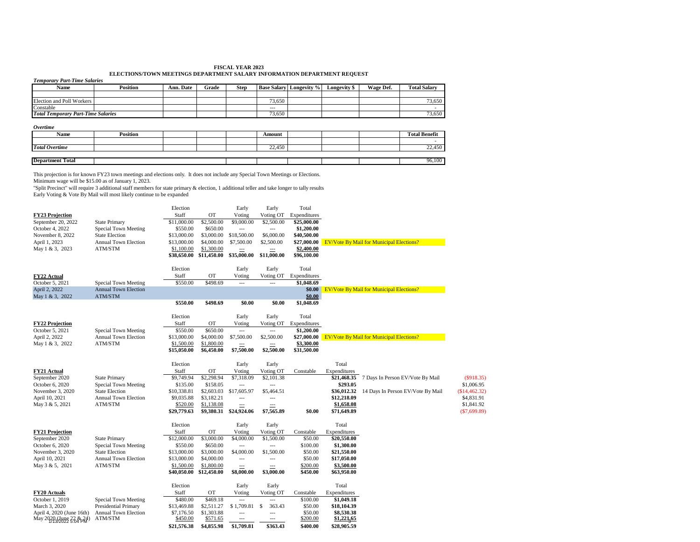### **FISCAL YEAR 2023 ELECTIONS/TOWN MEETINGS DEPARTMENT SALARY INFORMATION DEPARTMENT REQUEST**

| <b>Temporary Part-Time Salaries</b>                                           |                                                                                                                                                                                                                                                                                                                                                                                                               |                           |                          |                              |                                           |                           |                           |                                                 |                                   |               |
|-------------------------------------------------------------------------------|---------------------------------------------------------------------------------------------------------------------------------------------------------------------------------------------------------------------------------------------------------------------------------------------------------------------------------------------------------------------------------------------------------------|---------------------------|--------------------------|------------------------------|-------------------------------------------|---------------------------|---------------------------|-------------------------------------------------|-----------------------------------|---------------|
| Name                                                                          | <b>Position</b>                                                                                                                                                                                                                                                                                                                                                                                               | Ann. Date                 | Grade                    | <b>Step</b>                  | <b>Base Salary</b>                        | Longevity %               | Longevity \$              | Wage Def.                                       | <b>Total Salary</b>               |               |
| <b>Election and Poll Workers</b>                                              |                                                                                                                                                                                                                                                                                                                                                                                                               |                           |                          |                              | 73,650                                    |                           |                           |                                                 | 73,650                            |               |
| Constable                                                                     |                                                                                                                                                                                                                                                                                                                                                                                                               |                           |                          |                              |                                           |                           |                           |                                                 |                                   |               |
| <b>Total Temporary Part-Time Salaries</b>                                     |                                                                                                                                                                                                                                                                                                                                                                                                               |                           |                          |                              | 73,650                                    |                           |                           |                                                 | 73,650                            |               |
| Overtime                                                                      |                                                                                                                                                                                                                                                                                                                                                                                                               |                           |                          |                              |                                           |                           |                           |                                                 |                                   |               |
| Name                                                                          | <b>Position</b>                                                                                                                                                                                                                                                                                                                                                                                               |                           |                          |                              | Amount                                    |                           |                           |                                                 | <b>Total Benefit</b>              |               |
|                                                                               |                                                                                                                                                                                                                                                                                                                                                                                                               |                           |                          |                              |                                           |                           |                           |                                                 |                                   |               |
| <b>Total Overtime</b>                                                         |                                                                                                                                                                                                                                                                                                                                                                                                               |                           |                          |                              | 22,450                                    |                           |                           |                                                 | 22,450                            |               |
| <b>Department Total</b>                                                       |                                                                                                                                                                                                                                                                                                                                                                                                               |                           |                          |                              |                                           |                           |                           |                                                 | 96,100                            |               |
|                                                                               | This projection is for known FY23 town meetings and elections only. It does not include any Special Town Meetings or Elections.<br>Minimum wage will be \$15.00 as of January 1, 2023.<br>"Split Precinct" will require 3 additional staff members for state primary & election, 1 additional teller and take longer to tally results<br>Early Voting & Vote By Mail will most likely continue to be expanded |                           |                          |                              |                                           |                           |                           |                                                 |                                   |               |
|                                                                               |                                                                                                                                                                                                                                                                                                                                                                                                               | Election                  |                          | Early                        | Early                                     | Total                     |                           |                                                 |                                   |               |
| <b>FY23 Projection</b>                                                        |                                                                                                                                                                                                                                                                                                                                                                                                               | Staff                     | OT                       | Voting                       | Voting OT                                 | Expenditures              |                           |                                                 |                                   |               |
| September 20, 2022                                                            | <b>State Primary</b>                                                                                                                                                                                                                                                                                                                                                                                          | \$11,000.00               | \$2,500.00               | \$9,000.00                   | \$2,500.00                                | \$25,000.00               |                           |                                                 |                                   |               |
| October 4, 2022<br>November 8, 2022                                           | Special Town Meeting<br><b>State Election</b>                                                                                                                                                                                                                                                                                                                                                                 | \$550.00<br>\$13,000.00   | \$650.00<br>\$3,000.00   | $---$<br>\$18,500.00         | $\overline{a}$<br>\$6,000.00              | \$1,200.00<br>\$40,500.00 |                           |                                                 |                                   |               |
| April 1, 2023                                                                 | Annual Town Election                                                                                                                                                                                                                                                                                                                                                                                          | \$13,000.00               | \$4,000.00               | \$7,500.00                   | \$2,500.00                                | \$27,000.00               |                           | <b>EV/Vote By Mail for Municipal Elections?</b> |                                   |               |
| May 1 & 3, 2023                                                               | ATM/STM                                                                                                                                                                                                                                                                                                                                                                                                       | \$1,100.00                | \$1,300.00               | $\overline{\phantom{a}}$     | $\overline{\phantom{a}}$                  | \$2,400.00                |                           |                                                 |                                   |               |
|                                                                               |                                                                                                                                                                                                                                                                                                                                                                                                               | \$38,650.00               | \$11,450.00              | \$35,000.00                  | \$11,000.00                               | \$96,100.00               |                           |                                                 |                                   |               |
|                                                                               |                                                                                                                                                                                                                                                                                                                                                                                                               | Election                  |                          | Early                        | Early                                     | Total                     |                           |                                                 |                                   |               |
| FY22 Actual                                                                   |                                                                                                                                                                                                                                                                                                                                                                                                               | Staff                     | OT                       | Voting                       | Voting OT                                 | Expenditures              |                           |                                                 |                                   |               |
| October 5, 2021                                                               | Special Town Meeting                                                                                                                                                                                                                                                                                                                                                                                          | \$550.00                  | \$498.69                 | $\overline{a}$               | $\overline{a}$                            | \$1,048.69                |                           |                                                 |                                   |               |
| April 2, 2022<br>May 1 & 3, 2022                                              | <b>Annual Town Election</b><br>ATM/STM                                                                                                                                                                                                                                                                                                                                                                        |                           |                          |                              |                                           | \$0.00<br>\$0.00          |                           | <b>EV/Vote By Mail for Municipal Elections?</b> |                                   |               |
|                                                                               |                                                                                                                                                                                                                                                                                                                                                                                                               | \$550.00                  | \$498.69                 | \$0.00                       | \$0.00                                    | \$1,048.69                |                           |                                                 |                                   |               |
|                                                                               |                                                                                                                                                                                                                                                                                                                                                                                                               |                           |                          |                              |                                           |                           |                           |                                                 |                                   |               |
| <b>FY22 Projection</b>                                                        |                                                                                                                                                                                                                                                                                                                                                                                                               | Election<br>Staff         | <b>OT</b>                | Early<br>Voting              | Early<br>Voting OT                        | Total<br>Expenditures     |                           |                                                 |                                   |               |
| October 5, 2021                                                               | <b>Special Town Meeting</b>                                                                                                                                                                                                                                                                                                                                                                                   | \$550.00                  | \$650.00                 | $\overline{a}$               | $\overline{a}$                            | \$1,200.00                |                           |                                                 |                                   |               |
| April 2, 2022                                                                 | <b>Annual Town Election</b>                                                                                                                                                                                                                                                                                                                                                                                   | \$13,000.00               | \$4,000.00               | \$7,500.00                   | \$2,500.00                                | \$27,000.00               |                           | <b>EV/Vote By Mail for Municipal Elections?</b> |                                   |               |
| May 1 & 3, 2022                                                               | ATM/STM                                                                                                                                                                                                                                                                                                                                                                                                       | \$1,500.00                | \$1,800.00               | ---                          | $\overline{\phantom{a}}$                  | \$3,300.00                |                           |                                                 |                                   |               |
|                                                                               |                                                                                                                                                                                                                                                                                                                                                                                                               | \$15,050.00               | \$6,450.00               | \$7,500.00                   | \$2,500.00                                | \$31,500.00               |                           |                                                 |                                   |               |
|                                                                               |                                                                                                                                                                                                                                                                                                                                                                                                               | Election                  |                          | Early                        | Early                                     |                           | Total                     |                                                 |                                   |               |
| FY21 Actual                                                                   |                                                                                                                                                                                                                                                                                                                                                                                                               | Staff                     | <b>OT</b>                | Voting                       | Voting OT                                 | Constable                 | Expenditures              |                                                 |                                   |               |
| September 2020<br>October 6, 2020                                             | <b>State Primary</b><br>Special Town Meeting                                                                                                                                                                                                                                                                                                                                                                  | \$9,749.94<br>\$135.00    | \$2,298.94<br>\$158.05   | \$7,318.09<br>$\overline{a}$ | \$2,101.38                                |                           | \$21,468.35<br>\$293.05   |                                                 | 7 Days In Person EV/Vote By Mail  | \$1,006.95    |
| November 3, 2020                                                              | <b>State Election</b>                                                                                                                                                                                                                                                                                                                                                                                         | \$10,338.81               | \$2,603.03               | \$17,605.97                  | \$5,464.51                                |                           | \$36,012.32               |                                                 | 14 Days In Person EV/Vote By Mail | (\$14,462.32) |
| April 10, 2021                                                                | Annual Town Election                                                                                                                                                                                                                                                                                                                                                                                          | \$9,035.88                | \$3,182.21               | $\overline{\phantom{a}}$     | $\overline{\phantom{a}}$                  |                           | \$12,218.09               |                                                 |                                   | \$4,831.91    |
| May 3 & 5, 2021                                                               | ATM/STM                                                                                                                                                                                                                                                                                                                                                                                                       | \$520.00                  | \$1,138.08               |                              |                                           |                           | \$1,658.08                |                                                 |                                   | \$1,841.92    |
|                                                                               |                                                                                                                                                                                                                                                                                                                                                                                                               | \$29,779.63               | \$9,380.31               | \$24,924.06                  | \$7,565.89                                | \$0.00                    | \$71,649.89               |                                                 |                                   | (\$7,699.89)  |
|                                                                               |                                                                                                                                                                                                                                                                                                                                                                                                               | Election                  |                          | Early                        | Early                                     |                           | Total                     |                                                 |                                   |               |
| <b>FY21 Projection</b>                                                        |                                                                                                                                                                                                                                                                                                                                                                                                               | Staff                     | OT                       | Voting                       | Voting OT                                 | Constable                 | Expenditures              |                                                 |                                   |               |
| September 2020                                                                | <b>State Primary</b>                                                                                                                                                                                                                                                                                                                                                                                          | \$12,000.00               | \$3,000.00               | \$4,000.00                   | \$1,500.00                                | \$50.00                   | \$20,550.00               |                                                 |                                   |               |
| October 6, 2020<br>November 3, 2020                                           | Special Town Meeting<br><b>State Election</b>                                                                                                                                                                                                                                                                                                                                                                 | \$550.00<br>\$13,000.00   | \$650.00<br>\$3,000.00   | \$4,000.00                   | \$1,500.00                                | \$100.00<br>\$50.00       | \$1,300.00<br>\$21,550.00 |                                                 |                                   |               |
| April 10, 2021                                                                | Annual Town Election                                                                                                                                                                                                                                                                                                                                                                                          | \$13,000.00               | \$4,000.00               | $\overline{a}$               | $\overline{a}$                            | \$50.00                   | \$17,050.00               |                                                 |                                   |               |
| May 3 & 5, 2021                                                               | ATM/STM                                                                                                                                                                                                                                                                                                                                                                                                       | \$1,500.00                | \$1,800.00               | ---                          | ---                                       | \$200.00                  | \$3,500.00                |                                                 |                                   |               |
|                                                                               |                                                                                                                                                                                                                                                                                                                                                                                                               |                           | \$12,450.00              | \$8,000.00                   | \$3,000.00                                | \$450.00                  | \$63,950.00               |                                                 |                                   |               |
|                                                                               |                                                                                                                                                                                                                                                                                                                                                                                                               | \$40,050.00               |                          |                              |                                           |                           |                           |                                                 |                                   |               |
|                                                                               |                                                                                                                                                                                                                                                                                                                                                                                                               | Election                  |                          |                              |                                           |                           | Total                     |                                                 |                                   |               |
|                                                                               |                                                                                                                                                                                                                                                                                                                                                                                                               | Staff                     | OT                       | Early<br>Voting              | Early<br>Voting OT                        | Constable                 | Expenditures              |                                                 |                                   |               |
|                                                                               | Special Town Meeting                                                                                                                                                                                                                                                                                                                                                                                          | \$480.00                  | \$469.18                 |                              |                                           | \$100.00                  | \$1,049.18                |                                                 |                                   |               |
| FY20 Actuals<br>October 1, 2019<br>March 3, 2020<br>April 4, 2020 (June 16th) | <b>Presidential Primary</b><br>Annual Town Election                                                                                                                                                                                                                                                                                                                                                           | \$13,469.88<br>\$7,176.50 | \$2,511.27<br>\$1,303.88 | \$1,709.81                   | <sup>\$</sup><br>363.43<br>$\overline{a}$ | \$50.00<br>\$50.00        | \$18,104.39<br>\$8,530.38 |                                                 |                                   |               |

**\$21,576.38 \$4,855.98 \$1,709.81 \$363.43 \$400.00 \$28,905.59**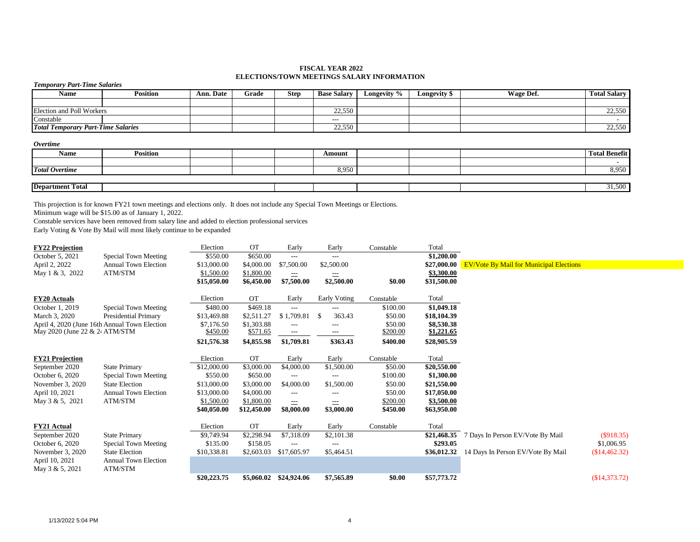### **FISCAL YEAR 2022 ELECTIONS/TOWN MEETINGS SALARY INFORMATION**

| ерестрям гото местологически посможност   |                                     |           |       |             |                    |             |                     |           |                     |  |  |  |  |
|-------------------------------------------|-------------------------------------|-----------|-------|-------------|--------------------|-------------|---------------------|-----------|---------------------|--|--|--|--|
|                                           | <b>Temporary Part-Time Salaries</b> |           |       |             |                    |             |                     |           |                     |  |  |  |  |
| <b>Name</b>                               | <b>Position</b>                     | Ann. Date | Grade | <b>Step</b> | <b>Base Salary</b> | Longevity % | <b>Longevity \$</b> | Wage Def. | <b>Total Salary</b> |  |  |  |  |
|                                           |                                     |           |       |             |                    |             |                     |           |                     |  |  |  |  |
| Election and Poll Workers                 |                                     |           |       |             | 22,550             |             |                     |           | 22,550              |  |  |  |  |
| Constable                                 |                                     |           |       |             | $---$              |             |                     |           |                     |  |  |  |  |
| <b>Total Temporary Part-Time Salaries</b> |                                     |           |       |             | 22,550             |             |                     |           | 22,550              |  |  |  |  |
|                                           |                                     |           |       |             |                    |             |                     |           |                     |  |  |  |  |

#### *Overtime*

| <b>Name</b>             | <b>Position</b> |  | Amount |  | <b>Total Benefit</b> |
|-------------------------|-----------------|--|--------|--|----------------------|
|                         |                 |  |        |  |                      |
| <b>Total Overtime</b>   |                 |  | 8,950  |  | 8,950                |
|                         |                 |  |        |  |                      |
| <b>Department Total</b> |                 |  |        |  | 31,500               |

This projection is for known FY21 town meetings and elections only. It does not include any Special Town Meetings or Elections.

Minimum wage will be \$15.00 as of January 1, 2022.

Constable services have been removed from salary line and added to election professional services

Early Voting & Vote By Mail will most likely continue to be expanded

| <b>FY22 Projection</b>         |                                               | Election    | <b>OT</b>   | Early                  | Early          | Constable | Total       |                                                |               |
|--------------------------------|-----------------------------------------------|-------------|-------------|------------------------|----------------|-----------|-------------|------------------------------------------------|---------------|
| October 5, 2021                | Special Town Meeting                          | \$550.00    | \$650.00    | $---$                  | ---            |           | \$1,200.00  |                                                |               |
| April 2, 2022                  | <b>Annual Town Election</b>                   | \$13,000.00 | \$4,000.00  | \$7,500.00             | \$2,500.00     |           | \$27,000.00 | <b>EV/Vote By Mail for Municipal Elections</b> |               |
| May 1 & 3, 2022                | ATM/STM                                       | \$1,500.00  | \$1,800.00  | $\equiv$               | ==             |           | \$3,300.00  |                                                |               |
|                                |                                               | \$15,050.00 | \$6,450.00  | \$7,500.00             | \$2,500.00     | \$0.00    | \$31,500.00 |                                                |               |
| <b>FY20 Actuals</b>            |                                               | Election    | <b>OT</b>   | Early                  | Early Voting   | Constable | Total       |                                                |               |
| October 1, 2019                | Special Town Meeting                          | \$480.00    | \$469.18    | $---$                  | $---$          | \$100.00  | \$1,049.18  |                                                |               |
| March 3, 2020                  | Presidential Primary                          | \$13,469.88 | \$2,511.27  | \$1,709.81             | 363.43<br>- \$ | \$50.00   | \$18,104.39 |                                                |               |
|                                | April 4, 2020 (June 16th Annual Town Election | \$7,176.50  | \$1,303.88  | $---$                  | ---            | \$50.00   | \$8,530.38  |                                                |               |
| May 2020 (June 22 & 24 ATM/STM |                                               | \$450.00    | \$571.65    | $\qquad \qquad -$      | ---            | \$200.00  | \$1,221.65  |                                                |               |
|                                |                                               | \$21,576.38 | \$4,855.98  | \$1,709.81             | \$363.43       | \$400.00  | \$28,905.59 |                                                |               |
| <b>FY21 Projection</b>         |                                               | Election    | <b>OT</b>   | Early                  | Early          | Constable | Total       |                                                |               |
| September 2020                 | <b>State Primary</b>                          | \$12,000.00 | \$3,000.00  | \$4,000.00             | \$1,500.00     | \$50.00   | \$20,550.00 |                                                |               |
| October 6, 2020                | <b>Special Town Meeting</b>                   | \$550.00    | \$650.00    | $---$                  | ---            | \$100.00  | \$1,300.00  |                                                |               |
| November 3, 2020               | <b>State Election</b>                         | \$13,000.00 | \$3,000.00  | \$4,000.00             | \$1,500.00     | \$50.00   | \$21,550.00 |                                                |               |
| April 10, 2021                 | <b>Annual Town Election</b>                   | \$13,000.00 | \$4,000.00  | $---$                  | ---            | \$50.00   | \$17,050.00 |                                                |               |
| May 3 & 5, 2021                | ATM/STM                                       | \$1,500.00  | \$1,800.00  | $\equiv$               |                | \$200.00  | \$3,500.00  |                                                |               |
|                                |                                               | \$40,050.00 | \$12,450.00 | \$8,000.00             | \$3,000.00     | \$450.00  | \$63,950.00 |                                                |               |
| <b>FY21 Actual</b>             |                                               | Election    | <b>OT</b>   | Early                  | Early          | Constable | Total       |                                                |               |
| September 2020                 | <b>State Primary</b>                          | \$9,749.94  | \$2,298.94  | \$7,318.09             | \$2,101.38     |           | \$21,468.35 | 7 Days In Person EV/Vote By Mail               | (S918.35)     |
| October 6, 2020                | Special Town Meeting                          | \$135.00    | \$158.05    | ---                    |                |           | \$293.05    |                                                | \$1,006.95    |
| November 3, 2020               | <b>State Election</b>                         | \$10,338.81 | \$2,603.03  | \$17,605.97            | \$5,464.51     |           | \$36,012.32 | 14 Days In Person EV/Vote By Mail              | (\$14,462.32) |
| April 10, 2021                 | <b>Annual Town Election</b>                   |             |             |                        |                |           |             |                                                |               |
| May 3 & 5, 2021                | ATM/STM                                       |             |             |                        |                |           |             |                                                |               |
|                                |                                               | \$20,223.75 |             | \$5,060.02 \$24,924.06 | \$7,565.89     | \$0.00    | \$57,773.72 |                                                | (\$14,373.72) |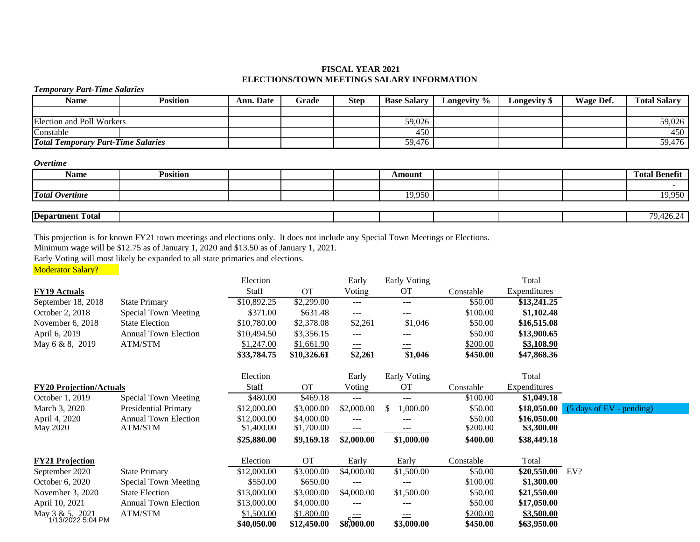## **FISCAL YEAR 2021 ELECTIONS/TOWN MEETINGS SALARY INFORMATION**

### *Temporary Part-Time Salaries*

| <b>Name</b>                               | Position | Ann. Date | Grade | <b>Step</b> | <b>Base Salary</b> | Longevity $\%$ | Longevity \$ | Wage Def. | <b>Total Salary</b> |
|-------------------------------------------|----------|-----------|-------|-------------|--------------------|----------------|--------------|-----------|---------------------|
|                                           |          |           |       |             |                    |                |              |           |                     |
| Election and Poll Workers                 |          |           |       |             | 59,026             |                |              |           | 59,026              |
| Constable                                 |          |           |       |             | 450                |                |              |           | 450                 |
| <b>Total Temporary Part-Time Salaries</b> |          |           |       |             | 59,476             |                |              |           | 59,476              |

*Overtime*

| <b>Name</b>             | <b>Position</b> |  | Amount |  | <b>Total Benefit</b>                 |
|-------------------------|-----------------|--|--------|--|--------------------------------------|
|                         |                 |  |        |  |                                      |
| <b>Total Overtime</b>   |                 |  | 19,950 |  | 19,950                               |
|                         |                 |  |        |  |                                      |
| <b>Department Total</b> |                 |  |        |  | 9,426.24<br>$\overline{\phantom{a}}$ |

This projection is for known FY21 town meetings and elections only. It does not include any Special Town Meetings or Elections.

Minimum wage will be \$12.75 as of January 1, 2020 and \$13.50 as of January 1, 2021.

Early Voting will most likely be expanded to all state primaries and elections.

Moderator Salary?

|                                      |                             | Election     |             | Early      | Early Voting    |           | Total             |                                    |
|--------------------------------------|-----------------------------|--------------|-------------|------------|-----------------|-----------|-------------------|------------------------------------|
| <b>FY19 Actuals</b>                  |                             | <b>Staff</b> | <b>OT</b>   | Voting     | <b>OT</b>       | Constable | Expenditures      |                                    |
| September 18, 2018                   | <b>State Primary</b>        | \$10,892.25  | \$2,299.00  | ---        | $---$           | \$50.00   | \$13,241.25       |                                    |
| October 2, 2018                      | Special Town Meeting        | \$371.00     | \$631.48    | $---$      | $---$           | \$100.00  | \$1,102.48        |                                    |
| November $6, 2018$                   | <b>State Election</b>       | \$10,780.00  | \$2,378.08  | \$2,261    | \$1,046         | \$50.00   | \$16,515.08       |                                    |
| April 6, 2019                        | <b>Annual Town Election</b> | \$10,494.50  | \$3,356.15  | ---        | ---             | \$50.00   | \$13,900.65       |                                    |
| May 6 & 8, 2019                      | ATM/STM                     | \$1,247.00   | \$1,661.90  | ===        | ===             | \$200.00  | \$3,108.90        |                                    |
|                                      |                             | \$33,784.75  | \$10,326.61 | \$2,261    | \$1,046         | \$450.00  | \$47,868.36       |                                    |
|                                      |                             | Election     |             | Early      | Early Voting    |           | Total             |                                    |
| <b>FY20 Projection/Actuals</b>       |                             | Staff        | <b>OT</b>   | Voting     | <b>OT</b>       | Constable | Expenditures      |                                    |
| October 1, 2019                      | <b>Special Town Meeting</b> | \$480.00     | \$469.18    | ---        | ---             | \$100.00  | \$1,049.18        |                                    |
| March 3, 2020                        | Presidential Primary        | \$12,000.00  | \$3,000.00  | \$2,000.00 | 0.000, 00<br>-S | \$50.00   | \$18,050.00       | $(5 \text{ days of EV} - pending)$ |
| April 4, 2020                        | <b>Annual Town Election</b> | \$12,000.00  | \$4,000.00  | $---$      | ---             | \$50.00   | \$16,050.00       |                                    |
| May 2020                             | ATM/STM                     | \$1,400.00   | \$1,700.00  | ---        |                 | \$200.00  | <b>\$3,300.00</b> |                                    |
|                                      |                             | \$25,880.00  | \$9,169.18  | \$2,000.00 | \$1,000.00      | \$400.00  | \$38,449.18       |                                    |
| <b>FY21 Projection</b>               |                             | Election     | <b>OT</b>   | Early      | Early           | Constable | Total             |                                    |
| September 2020                       | <b>State Primary</b>        | \$12,000.00  | \$3,000.00  | \$4,000.00 | \$1,500.00      | \$50.00   | \$20,550.00       | EV?                                |
| October 6, 2020                      | Special Town Meeting        | \$550.00     | \$650.00    | ---        |                 | \$100.00  | \$1,300.00        |                                    |
| November 3, 2020                     | <b>State Election</b>       | \$13,000.00  | \$3,000.00  | \$4,000.00 | \$1,500.00      | \$50.00   | \$21,550.00       |                                    |
| April 10, 2021                       | <b>Annual Town Election</b> | \$13,000.00  | \$4,000.00  | ---        |                 | \$50.00   | \$17,050.00       |                                    |
| May 3 & 5, 2021<br>1/13/2022 5:04 PM | ATM/STM                     | \$1,500.00   | \$1,800.00  | $---$      | $\equiv$        | \$200.00  | \$3,500.00        |                                    |
|                                      |                             | \$40,050.00  | \$12,450.00 | \$8,000.00 | \$3,000.00      | \$450.00  | \$63,950.00       |                                    |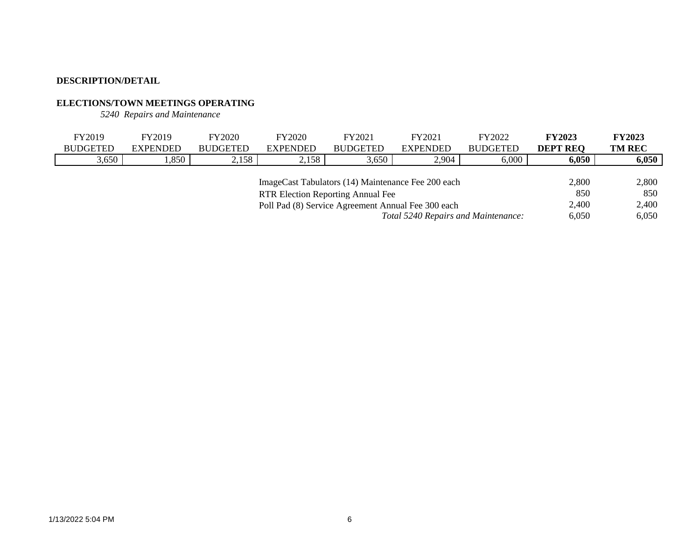# **ELECTIONS/TOWN MEETINGS OPERATING**

*5240 Repairs and Maintenance*

| FY2019          | FY2019                                             | <b>FY2020</b>   | <b>FY2020</b>   | FY2021                                             | FY2021                              | FY2022          | <b>FY2023</b>   | <b>FY2023</b> |
|-----------------|----------------------------------------------------|-----------------|-----------------|----------------------------------------------------|-------------------------------------|-----------------|-----------------|---------------|
| <b>BUDGETED</b> | <b>EXPENDED</b>                                    | <b>BUDGETED</b> | <b>EXPENDED</b> | <b>BUDGETED</b>                                    | <b>EXPENDED</b>                     | <b>BUDGETED</b> | <b>DEPT REQ</b> | <b>TM REC</b> |
| 3,650           | .,850                                              | 2,158           | 2,158           | 3,650                                              | 2,904                               | 6,000           | 6,050           | 6,050         |
|                 |                                                    |                 |                 |                                                    |                                     |                 |                 |               |
|                 |                                                    |                 |                 | ImageCast Tabulators (14) Maintenance Fee 200 each |                                     |                 | 2,800           | 2,800         |
|                 | <b>RTR Election Reporting Annual Fee</b>           |                 |                 |                                                    |                                     |                 |                 |               |
|                 | Poll Pad (8) Service Agreement Annual Fee 300 each |                 |                 |                                                    |                                     |                 |                 |               |
|                 |                                                    |                 |                 |                                                    | Total 5240 Repairs and Maintenance: |                 | 6.050           | 6,050         |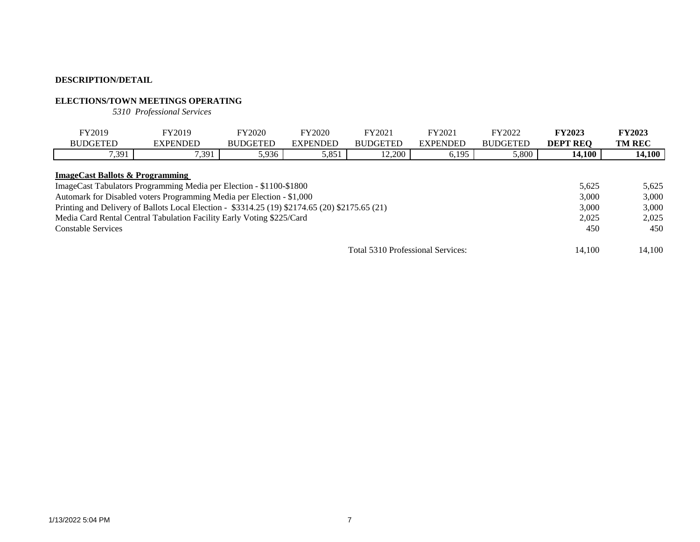## **ELECTIONS/TOWN MEETINGS OPERATING**

*5310 Professional Services*

| FY2019                                                                                                            | FY2019          | FY2020          | FY2020          | FY2021                            | FY2021          | FY2022          | <b>FY2023</b>   | <b>FY2023</b> |
|-------------------------------------------------------------------------------------------------------------------|-----------------|-----------------|-----------------|-----------------------------------|-----------------|-----------------|-----------------|---------------|
| <b>BUDGETED</b>                                                                                                   | <b>EXPENDED</b> | <b>BUDGETED</b> | <b>EXPENDED</b> | <b>BUDGETED</b>                   | <b>EXPENDED</b> | <b>BUDGETED</b> | <b>DEPT REO</b> | <b>TM REC</b> |
| 7,391                                                                                                             | 7,391           | 5,936           | 5,851           | 12,200                            | 6,195           | 5,800           | 14,100          | 14,100        |
| <b>ImageCast Ballots &amp; Programming</b><br>ImageCast Tabulators Programming Media per Election - \$1100-\$1800 |                 |                 |                 |                                   |                 |                 | 5.625           | 5,625         |
| Automark for Disabled voters Programming Media per Election - \$1,000                                             |                 |                 |                 |                                   |                 |                 | 3,000           | 3,000         |
| Printing and Delivery of Ballots Local Election - \$3314.25 (19) \$2174.65 (20) \$2175.65 (21)                    |                 |                 |                 |                                   |                 |                 | 3,000           | 3,000         |
| Media Card Rental Central Tabulation Facility Early Voting \$225/Card                                             |                 |                 |                 |                                   |                 |                 | 2.025           | 2.025         |
| <b>Constable Services</b>                                                                                         |                 | 450             | 450             |                                   |                 |                 |                 |               |
|                                                                                                                   |                 |                 |                 | Total 5310 Professional Services: |                 |                 | 14.100          | 14.100        |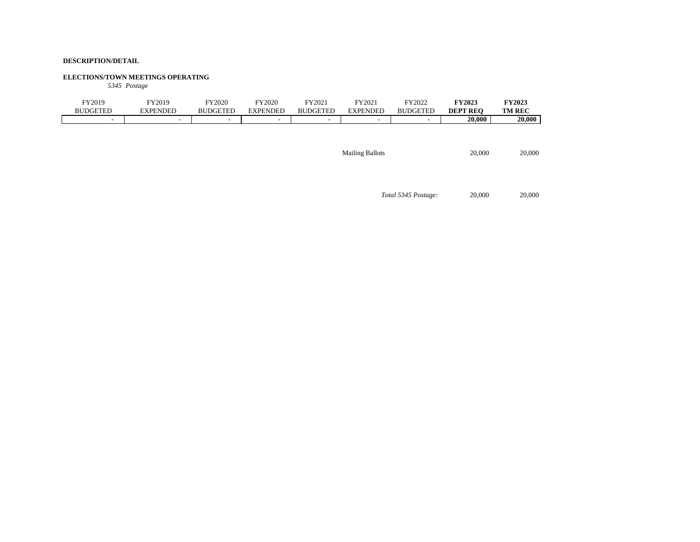### **ELECTIONS/TOWN MEETINGS OPERATING**

*5345 Postage*

| FY2019<br>DGETED<br>BUI  | FY2019<br>EXPENDED       | Y2020<br><b>BUDGETED</b> | Y2020<br><b>EXPENDED</b> | FY2021<br><b>BUDGETED</b> | FY2021<br><b>EXPENDED</b> | FY2022<br><b>BUDGETED</b> | <b>FY2023</b><br><b>DEPT REO</b> | <b>FY2023</b><br><b>TM REC</b> |
|--------------------------|--------------------------|--------------------------|--------------------------|---------------------------|---------------------------|---------------------------|----------------------------------|--------------------------------|
| $\overline{\phantom{0}}$ | $\overline{\phantom{a}}$ | -                        | -                        | $\overline{\phantom{a}}$  | $\overline{\phantom{a}}$  |                           | 20,000                           | 20,000                         |
|                          |                          |                          |                          |                           |                           |                           |                                  |                                |

Mailing Ballots 20,000 20,000

*Total 5345 Postage:* 20,000 20,000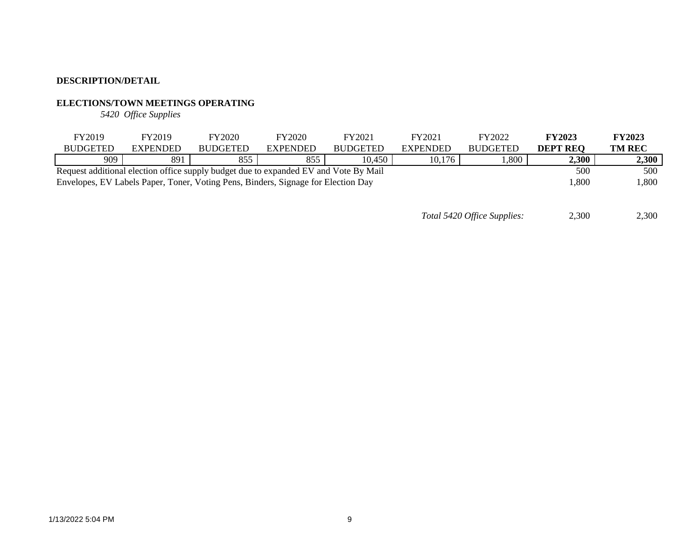# **ELECTIONS/TOWN MEETINGS OPERATING**

*5420 Office Supplies*

| FY2019                                                                                     | FY2019          | FY2020          | <b>FY2020</b>   | FY2021          | FY2021          | FY2022          | <b>FY2023</b>   | <b>FY2023</b> |
|--------------------------------------------------------------------------------------------|-----------------|-----------------|-----------------|-----------------|-----------------|-----------------|-----------------|---------------|
| <b>BUDGETED</b>                                                                            | <b>EXPENDED</b> | <b>BUDGETED</b> | <b>EXPENDED</b> | <b>BUDGETED</b> | <b>EXPENDED</b> | <b>BUDGETED</b> | <b>DEPT REO</b> | <b>TM REC</b> |
| 909                                                                                        | 891             | 855             | 855             | 10,450          | 10,176          | 0.800           | 2,300           | 2,300         |
| Request additional election office supply budget due to expanded EV and Vote By Mail       | 500             | 500             |                 |                 |                 |                 |                 |               |
| 800,ا<br>Envelopes, EV Labels Paper, Toner, Voting Pens, Binders, Signage for Election Day |                 |                 |                 |                 |                 |                 |                 |               |

*Total 5420 Office Supplies:* 2,300 2,300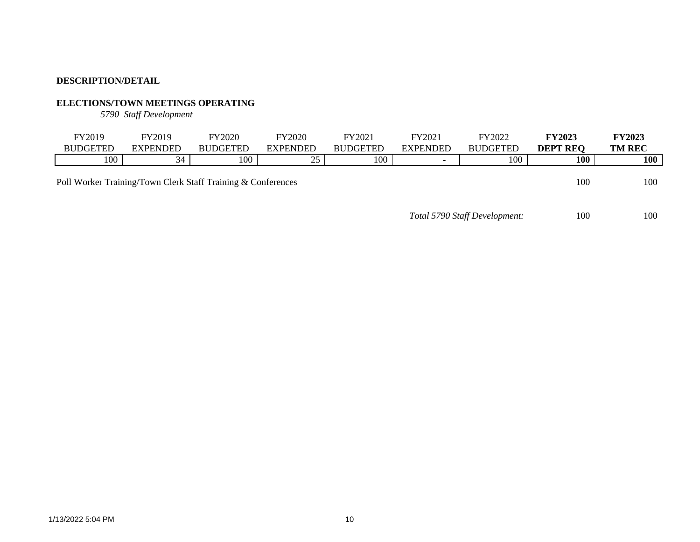# **ELECTIONS/TOWN MEETINGS OPERATING**

*5790 Staff Development*

| FY2019          | FY2019          | <b>FY2020</b>   | FY2020              | FY2021          | FY2021                   | FY2022          | <b>FY2023</b>   | <b>FY2023</b> |
|-----------------|-----------------|-----------------|---------------------|-----------------|--------------------------|-----------------|-----------------|---------------|
| <b>BUDGETED</b> | <b>EXPENDED</b> | <b>BUDGETED</b> | EXPENDED            | <b>BUDGETED</b> | <b>EXPENDED</b>          | <b>BUDGETED</b> | <b>DEPT REQ</b> | <b>TM REC</b> |
| 100             | - 24            | 100             | $\sim$ $\sim$<br>رے | 100             | $\overline{\phantom{0}}$ | 100<br>1 V V    | 100             | <b>100</b>    |
|                 |                 |                 |                     |                 |                          |                 |                 |               |

Poll Worker Training/Town Clerk Staff Training & Conferences 100 100 100 100

*Total 5790 Staff Development:* 100 100